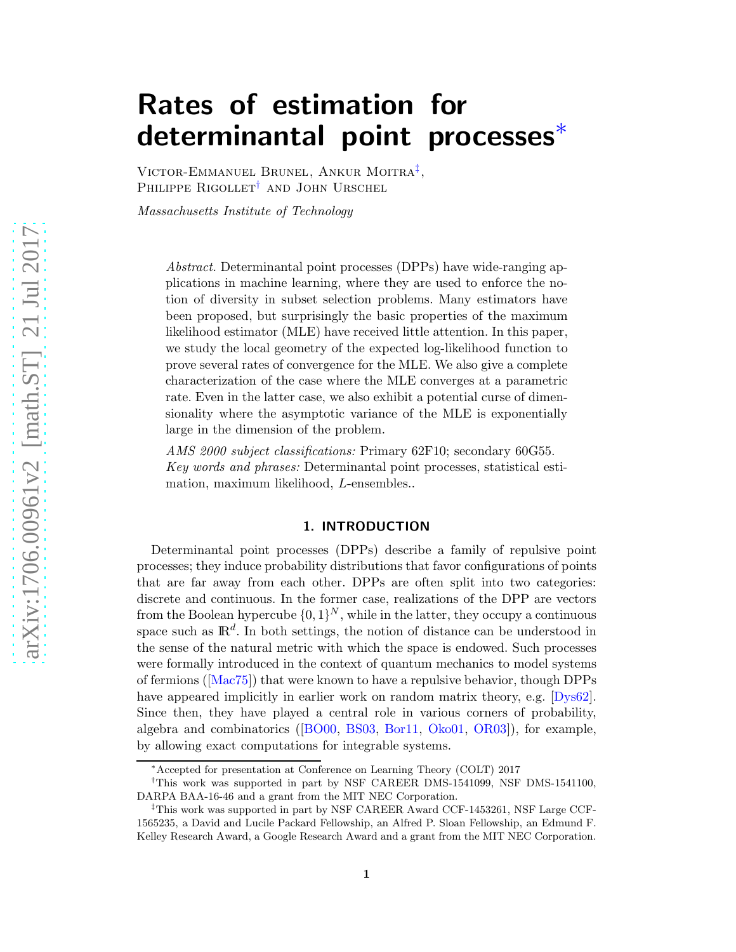# Rates of estimation for determinantal point processes[∗](#page-0-0)

VICTOR-EMMANUEL BRUNEL, ANKUR MOITRA<sup>[‡](#page-0-1)</sup>, PHILIPPE RIGOLLET<sup>[†](#page-0-2)</sup> AND JOHN URSCHEL

*Massachusetts Institute of Technology*

*Abstract.* Determinantal point processes (DPPs) have wide-ranging applications in machine learning, where they are used to enforce the notion of diversity in subset selection problems. Many estimators have been proposed, but surprisingly the basic properties of the maximum likelihood estimator (MLE) have received little attention. In this paper, we study the local geometry of the expected log-likelihood function to prove several rates of convergence for the MLE. We also give a complete characterization of the case where the MLE converges at a parametric rate. Even in the latter case, we also exhibit a potential curse of dimensionality where the asymptotic variance of the MLE is exponentially large in the dimension of the problem.

*AMS 2000 subject classifications:* Primary 62F10; secondary 60G55. *Key words and phrases:* Determinantal point processes, statistical estimation, maximum likelihood, L-ensembles..

## 1. INTRODUCTION

<span id="page-0-3"></span>Determinantal point processes (DPPs) describe a family of repulsive point processes; they induce probability distributions that favor configurations of points that are far away from each other. DPPs are often split into two categories: discrete and continuous. In the former case, realizations of the DPP are vectors from the Boolean hypercube  $\{0, 1\}^N$ , while in the latter, they occupy a continuous space such as  $\mathbb{R}^d$ . In both settings, the notion of distance can be understood in the sense of the natural metric with which the space is endowed. Such processes were formally introduced in the context of quantum mechanics to model systems of fermions ([\[Mac75\]](#page-13-0)) that were known to have a repulsive behavior, though DPPs have appeared implicitly in earlier work on random matrix theory, e.g. [\[Dys62\]](#page-12-0). Since then, they have played a central role in various corners of probability, algebra and combinatorics ([\[BO00,](#page-11-0) [BS03,](#page-12-1) [Bor11,](#page-12-2) [Oko01,](#page-13-1) [OR03\]](#page-13-2)), for example, by allowing exact computations for integrable systems.

<span id="page-0-2"></span><span id="page-0-0"></span><sup>∗</sup>Accepted for presentation at Conference on Learning Theory (COLT) 2017

<sup>†</sup>This work was supported in part by NSF CAREER DMS-1541099, NSF DMS-1541100, DARPA BAA-16-46 and a grant from the MIT NEC Corporation.

<span id="page-0-1"></span><sup>‡</sup>This work was supported in part by NSF CAREER Award CCF-1453261, NSF Large CCF-1565235, a David and Lucile Packard Fellowship, an Alfred P. Sloan Fellowship, an Edmund F. Kelley Research Award, a Google Research Award and a grant from the MIT NEC Corporation.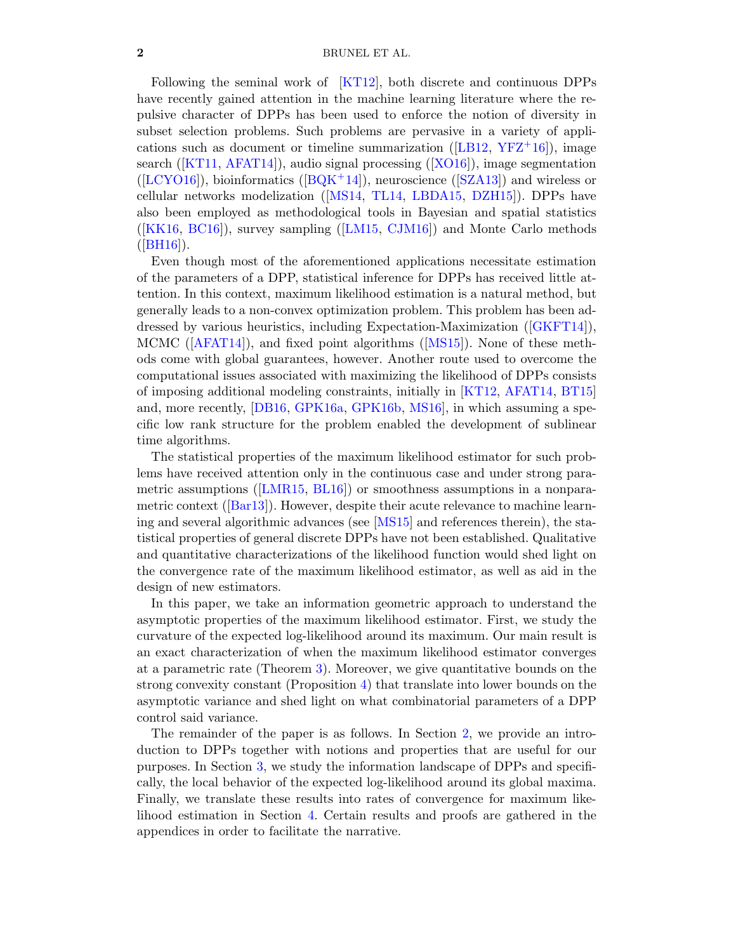#### 2 BRUNEL ET AL.

Following the seminal work of [\[KT12\]](#page-12-3), both discrete and continuous DPPs have recently gained attention in the machine learning literature where the repulsive character of DPPs has been used to enforce the notion of diversity in subset selection problems. Such problems are pervasive in a variety of applications such as document or timeline summarization ( $[LB12, YFZ<sup>+</sup>16]$  $[LB12, YFZ<sup>+</sup>16]$  $[LB12, YFZ<sup>+</sup>16]$  $[LB12, YFZ<sup>+</sup>16]$ ), image search ([\[KT11,](#page-12-5) [AFAT14\]](#page-11-1)), audio signal processing ([\[XO16\]](#page-13-4)), image segmentation ([\[LCYO16\]](#page-13-5)), bioinformatics ( $[BOK^+14]$ ), neuroscience ([\[SZA13\]](#page-13-6)) and wireless or cellular networks modelization ([\[MS14,](#page-13-7) [TL14,](#page-13-8) [LBDA15,](#page-13-9) [DZH15\]](#page-12-7)). DPPs have also been employed as methodological tools in Bayesian and spatial statistics  $([KK16, BC16])$  $([KK16, BC16])$  $([KK16, BC16])$  $([KK16, BC16])$  $([KK16, BC16])$ , survey sampling  $([LM15, CJM16])$  $([LM15, CJM16])$  $([LM15, CJM16])$  $([LM15, CJM16])$  $([LM15, CJM16])$  and Monte Carlo methods  $([BH16]).$  $([BH16]).$  $([BH16]).$ 

Even though most of the aforementioned applications necessitate estimation of the parameters of a DPP, statistical inference for DPPs has received little attention. In this context, maximum likelihood estimation is a natural method, but generally leads to a non-convex optimization problem. This problem has been addressed by various heuristics, including Expectation-Maximization ([\[GKFT14\]](#page-12-10)), MCMC ([\[AFAT14\]](#page-11-1)), and fixed point algorithms ([\[MS15\]](#page-13-11)). None of these methods come with global guarantees, however. Another route used to overcome the computational issues associated with maximizing the likelihood of DPPs consists of imposing additional modeling constraints, initially in [\[KT12,](#page-12-3) [AFAT14,](#page-11-1) [BT15\]](#page-12-11) and, more recently, [\[DB16,](#page-12-12) [GPK16a,](#page-12-13) [GPK16b,](#page-12-14) [MS16\]](#page-13-12), in which assuming a specific low rank structure for the problem enabled the development of sublinear time algorithms.

The statistical properties of the maximum likelihood estimator for such problems have received attention only in the continuous case and under strong parametric assumptions ([\[LMR15,](#page-13-13) [BL16\]](#page-11-4)) or smoothness assumptions in a nonparametric context ([\[Bar13\]](#page-11-5)). However, despite their acute relevance to machine learning and several algorithmic advances (see [\[MS15\]](#page-13-11) and references therein), the statistical properties of general discrete DPPs have not been established. Qualitative and quantitative characterizations of the likelihood function would shed light on the convergence rate of the maximum likelihood estimator, as well as aid in the design of new estimators.

In this paper, we take an information geometric approach to understand the asymptotic properties of the maximum likelihood estimator. First, we study the curvature of the expected log-likelihood around its maximum. Our main result is an exact characterization of when the maximum likelihood estimator converges at a parametric rate (Theorem [3\)](#page-4-0). Moreover, we give quantitative bounds on the strong convexity constant (Proposition [4\)](#page-6-0) that translate into lower bounds on the asymptotic variance and shed light on what combinatorial parameters of a DPP control said variance.

The remainder of the paper is as follows. In Section [2,](#page-2-0) we provide an introduction to DPPs together with notions and properties that are useful for our purposes. In Section [3,](#page-3-0) we study the information landscape of DPPs and specifically, the local behavior of the expected log-likelihood around its global maxima. Finally, we translate these results into rates of convergence for maximum likelihood estimation in Section [4.](#page-9-0) Certain results and proofs are gathered in the appendices in order to facilitate the narrative.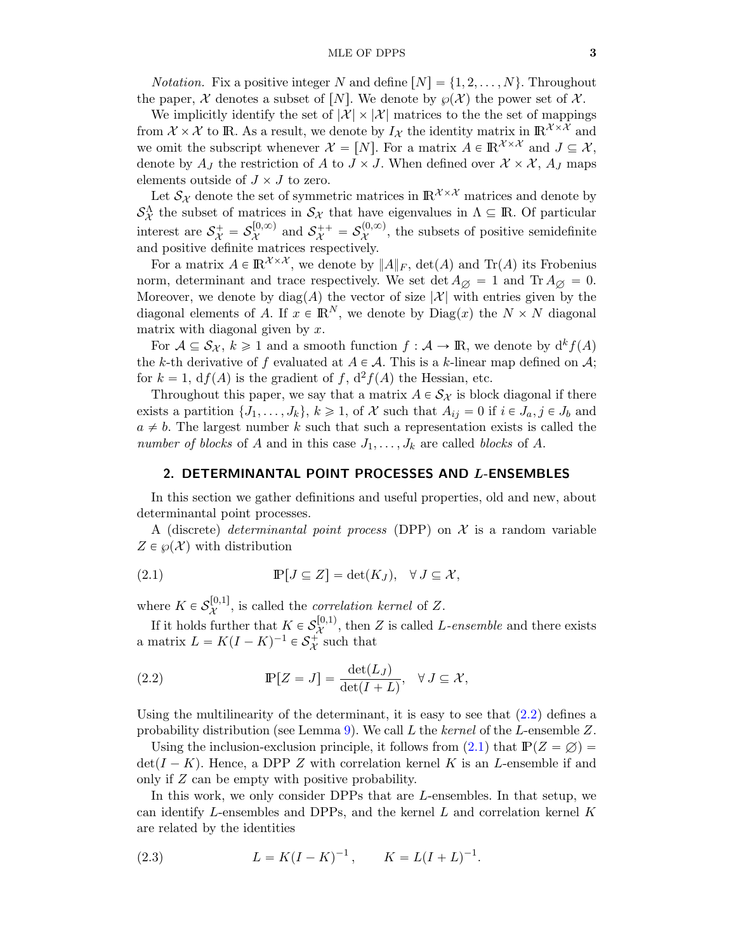*Notation.* Fix a positive integer N and define  $[N] = \{1, 2, \ldots, N\}$ . Throughout the paper, X denotes a subset of [N]. We denote by  $\wp(\mathcal{X})$  the power set of X.

We implicitly identify the set of  $|\mathcal{X}| \times |\mathcal{X}|$  matrices to the set of mappings from  $\mathcal{X} \times \mathcal{X}$  to IR. As a result, we denote by  $I_{\mathcal{X}}$  the identity matrix in  $\mathbb{R}^{\mathcal{X} \times \mathcal{X}}$  and we omit the subscript whenever  $\mathcal{X} = [N]$ . For a matrix  $A \in \mathbb{R}^{\mathcal{X} \times \mathcal{X}}$  and  $J \subseteq \mathcal{X}$ , denote by  $A_J$  the restriction of A to  $J \times J$ . When defined over  $\mathcal{X} \times \mathcal{X}$ ,  $A_J$  maps elements outside of  $J \times J$  to zero.

Let  $\mathcal{S}_{\mathcal{X}}$  denote the set of symmetric matrices in  $\mathbb{R}^{\mathcal{X}\times\mathcal{X}}$  matrices and denote by  $\mathcal{S}_{\mathcal{X}}^{\Lambda}$  the subset of matrices in  $\mathcal{S}_{\mathcal{X}}$  that have eigenvalues in  $\Lambda \subseteq \mathbb{R}$ . Of particular interest are  $S^+_{\mathcal{X}} = S^{[0,\infty)}_{\mathcal{X}}$  $\mathcal{S}_{\mathcal{X}}^{(0,\infty)}$  and  $\mathcal{S}_{\mathcal{X}}^{++} = \mathcal{S}_{\mathcal{X}}^{(0,\infty)}$  $\chi^{(0,\infty)}$ , the subsets of positive semidefinite and positive definite matrices respectively.

For a matrix  $A \in \mathbb{R}^{\mathcal{X} \times \mathcal{X}}$ , we denote by  $||A||_F$ ,  $\det(A)$  and  $\text{Tr}(A)$  its Frobenius norm, determinant and trace respectively. We set det  $A_{\emptyset} = 1$  and  $\text{Tr } A_{\emptyset} = 0$ . Moreover, we denote by  $diag(A)$  the vector of size  $|\mathcal{X}|$  with entries given by the diagonal elements of A. If  $x \in \mathbb{R}^N$ , we denote by  $\text{Diag}(x)$  the  $N \times N$  diagonal matrix with diagonal given by  $x$ .

For  $A \subseteq S_{\mathcal{X}}$ ,  $k \geq 1$  and a smooth function  $f : \mathcal{A} \to \mathbb{R}$ , we denote by  $d^k f(A)$ the k-th derivative of f evaluated at  $A \in \mathcal{A}$ . This is a k-linear map defined on  $\mathcal{A}$ ; for  $k = 1$ ,  $df(A)$  is the gradient of f,  $d^2f(A)$  the Hessian, etc.

Throughout this paper, we say that a matrix  $A \in S_{\mathcal{X}}$  is block diagonal if there exists a partition  $\{J_1, \ldots, J_k\}, k \geq 1$ , of X such that  $A_{ij} = 0$  if  $i \in J_a, j \in J_b$  and  $a \neq b$ . The largest number k such that such a representation exists is called the *number of blocks* of A and in this case  $J_1, \ldots, J_k$  are called *blocks* of A.

## <span id="page-2-0"></span>2. DETERMINANTAL POINT PROCESSES AND L-ENSEMBLES

In this section we gather definitions and useful properties, old and new, about determinantal point processes.

A (discrete) *determinantal point process* (DPP) on  $X$  is a random variable  $Z \in \wp(\mathcal{X})$  with distribution

<span id="page-2-2"></span>(2.1) 
$$
\mathbb{P}[J \subseteq Z] = \det(K_J), \quad \forall J \subseteq \mathcal{X},
$$

where  $K \in \mathcal{S}^{[0,1]}_{\mathcal{X}}$  $\chi^{\text{[0,1]}}$ , is called the *correlation kernel* of Z.

If it holds further that  $K \in \mathcal{S}^{[0,1)}_{\mathcal{X}}$  $\mathcal{X}^{(0,1)}$ , then Z is called L-ensemble and there exists a matrix  $L = K(I - K)^{-1} \in \mathcal{S}_{\mathcal{X}}^{+}$  such that

<span id="page-2-1"></span>(2.2) 
$$
\mathbb{P}[Z = J] = \frac{\det(L_J)}{\det(I + L)}, \quad \forall J \subseteq \mathcal{X},
$$

Using the multilinearity of the determinant, it is easy to see that  $(2.2)$  defines a probability distribution (see Lemma [9\)](#page-14-0). We call L the *kernel* of the L-ensemble Z.

Using the inclusion-exclusion principle, it follows from [\(2.1\)](#page-2-2) that  $\mathbb{P}(Z = \emptyset) =$  $\det(I - K)$ . Hence, a DPP Z with correlation kernel K is an L-ensemble if and only if Z can be empty with positive probability.

In this work, we only consider DPPs that are L-ensembles. In that setup, we can identify L-ensembles and DPPs, and the kernel  $L$  and correlation kernel  $K$ are related by the identities

<span id="page-2-3"></span>(2.3) 
$$
L = K(I - K)^{-1}, \qquad K = L(I + L)^{-1}.
$$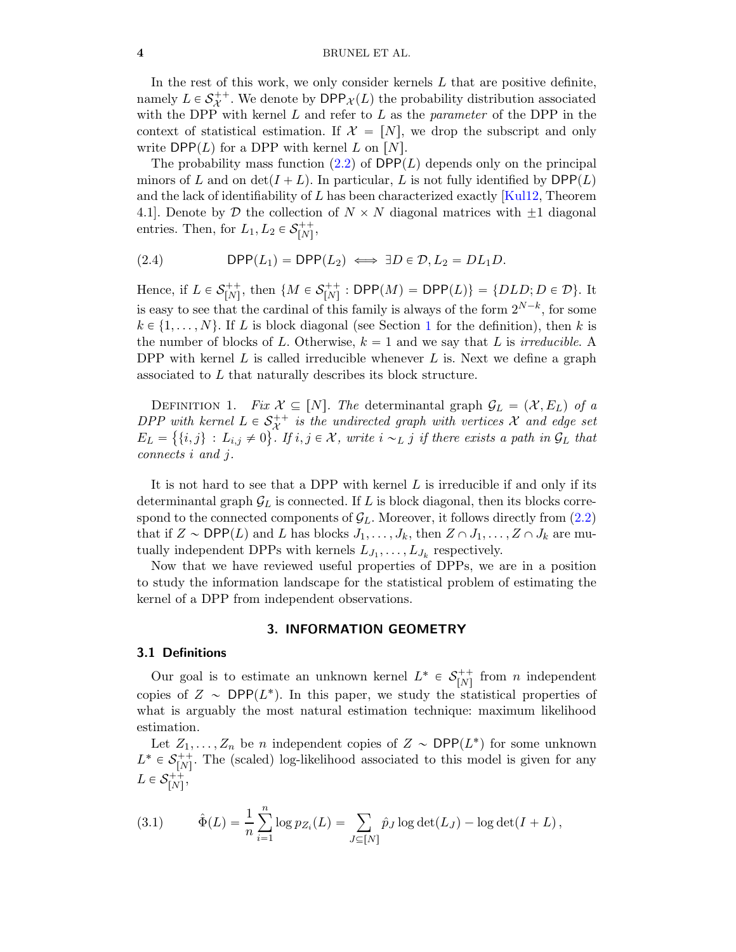#### 4 BRUNEL ET AL.

In the rest of this work, we only consider kernels  $L$  that are positive definite, namely  $L \in \mathcal{S}^{++}_{\mathcal{X}}$ . We denote by  $\mathsf{DPP}_{\mathcal{X}}(L)$  the probability distribution associated with the DPP with kernel L and refer to L as the *parameter* of the DPP in the context of statistical estimation. If  $\mathcal{X} = [N]$ , we drop the subscript and only write  $\text{DPP}(L)$  for a DPP with kernel L on [N].

The probability mass function  $(2.2)$  of DPP(L) depends only on the principal minors of L and on  $\det(I + L)$ . In particular, L is not fully identified by  $\text{DPP}(L)$ and the lack of identifiability of  $L$  has been characterized exactly [\[Kul12,](#page-12-15) Theorem 4.1. Denote by D the collection of  $N \times N$  diagonal matrices with  $\pm 1$  diagonal entries. Then, for  $L_1, L_2 \in \mathcal{S}_{[N]}^{++}$  $\stackrel{++}{[N]},$ 

(2.4) 
$$
\mathsf{DPP}(L_1) = \mathsf{DPP}(L_2) \iff \exists D \in \mathcal{D}, L_2 = DL_1D.
$$

Hence, if  $L \in \mathcal{S}_{[N]}^{++}$  $\binom{m}{N}$ , then  $\{M \in \mathcal{S}_{[N]}^{++}\}$  $P_{[N]}^{++}$ : DPP $(M)$  = DPP $(L)$ } = { $DLD; D \in \mathcal{D}$ }. It is easy to see that the cardinal of this family is always of the form  $2^{N-k}$ , for some  $k \in \{1, \ldots, N\}$  $k \in \{1, \ldots, N\}$  $k \in \{1, \ldots, N\}$ . If L is block diagonal (see Section 1 for the definition), then k is the number of blocks of L. Otherwise,  $k = 1$  and we say that L is *irreducible*. A DPP with kernel  $L$  is called irreducible whenever  $L$  is. Next we define a graph associated to L that naturally describes its block structure.

DEFINITION 1. *Fix*  $\mathcal{X} \subseteq [N]$ . The determinantal graph  $\mathcal{G}_L = (\mathcal{X}, E_L)$  of a *DPP* with kernel  $L \in S_X^{++}$  is the undirected graph with vertices X and edge set  $E_L = \{\{i, j\} : L_{i,j} \neq 0\}$ . If  $i, j \in \mathcal{X}$ , write  $i \sim_L j$  if there exists a path in  $\mathcal{G}_L$  that *connects* i *and* j*.*

It is not hard to see that a DPP with kernel  $L$  is irreducible if and only if its determinantal graph  $\mathcal{G}_L$  is connected. If L is block diagonal, then its blocks correspond to the connected components of  $\mathcal{G}_L$ . Moreover, it follows directly from [\(2.2\)](#page-2-1) that if  $Z \sim \textsf{DPP}(L)$  and L has blocks  $J_1, \ldots, J_k$ , then  $Z \cap J_1, \ldots, Z \cap J_k$  are mutually independent DPPs with kernels  $L_{J_1}, \ldots, L_{J_k}$  respectively.

Now that we have reviewed useful properties of DPPs, we are in a position to study the information landscape for the statistical problem of estimating the kernel of a DPP from independent observations.

## 3. INFORMATION GEOMETRY

#### <span id="page-3-0"></span>3.1 Definitions

Our goal is to estimate an unknown kernel  $L^* \in \mathcal{S}_{[N]}^{++}$  $\begin{bmatrix}r+1\\N\end{bmatrix}$  from *n* independent copies of  $Z \sim \text{DPP}(L^*)$ . In this paper, we study the statistical properties of what is arguably the most natural estimation technique: maximum likelihood estimation.

Let  $Z_1, \ldots, Z_n$  be n independent copies of  $Z \sim \text{DPP}(L^*)$  for some unknown  $L^* \in \mathcal{S}_{[N]}^{++}$  $\binom{++}{[N]}$ . The (scaled) log-likelihood associated to this model is given for any  $L \in \mathcal{S}_{[N]}^{++}$ ++<br>[N] ,

<span id="page-3-1"></span>(3.1) 
$$
\hat{\Phi}(L) = \frac{1}{n} \sum_{i=1}^{n} \log p_{Z_i}(L) = \sum_{J \subseteq [N]} \hat{p}_J \log \det(L_J) - \log \det(I + L),
$$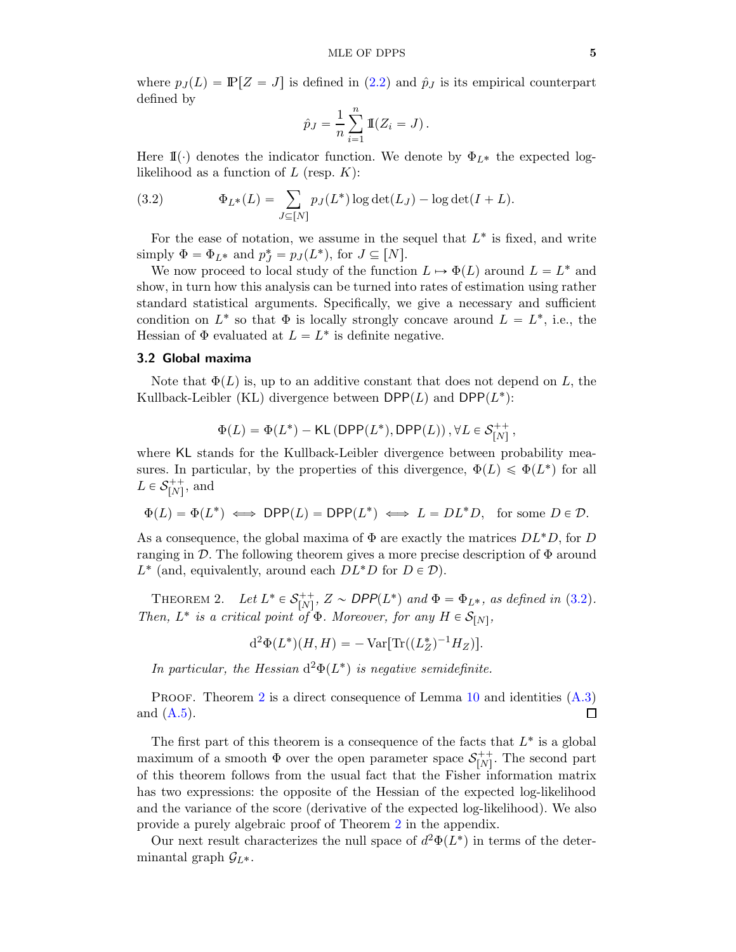where  $p_J(L) = \mathbb{P}[Z = J]$  is defined in [\(2.2\)](#page-2-1) and  $\hat{p}_J$  is its empirical counterpart defined by

$$
\hat{p}_J = \frac{1}{n} \sum_{i=1}^n \mathbb{I}(Z_i = J).
$$

Here  $\mathbb{I}(\cdot)$  denotes the indicator function. We denote by  $\Phi_{L*}$  the expected loglikelihood as a function of  $L$  (resp.  $K$ ):

<span id="page-4-1"></span>(3.2) 
$$
\Phi_{L^*}(L) = \sum_{J \subseteq [N]} p_J(L^*) \log \det(L_J) - \log \det(I + L).
$$

For the ease of notation, we assume in the sequel that  $L^*$  is fixed, and write simply  $\Phi = \Phi_{L^*}$  and  $p_J^* = p_J(L^*),$  for  $J \subseteq [N]$ .

We now proceed to local study of the function  $L \mapsto \Phi(L)$  around  $L = L^*$  and show, in turn how this analysis can be turned into rates of estimation using rather standard statistical arguments. Specifically, we give a necessary and sufficient condition on  $L^*$  so that  $\Phi$  is locally strongly concave around  $L = L^*$ , i.e., the Hessian of  $\Phi$  evaluated at  $L = L^*$  is definite negative.

#### 3.2 Global maxima

Note that  $\Phi(L)$  is, up to an additive constant that does not depend on L, the Kullback-Leibler (KL) divergence between  $\mathsf{DPP}(L)$  and  $\mathsf{DPP}(L^*)$ :

$$
\Phi(L) = \Phi(L^*) - \mathsf{KL}\left(\mathsf{DPP}(L^*), \mathsf{DPP}(L)\right), \forall L \in \mathcal{S}_{[N]}^{++},
$$

where KL stands for the Kullback-Leibler divergence between probability measures. In particular, by the properties of this divergence,  $\Phi(L) \leq \Phi(L^*)$  for all  $L \in \mathcal{S}_{[N]}^{++}$  $\binom{r+1}{[N]}$ , and

$$
\Phi(L)=\Phi(L^*) \iff \mathsf{DPP}(L)=\mathsf{DPP}(L^*) \iff L=DL^*D, \text{ for some } D \in \mathcal{D}.
$$

As a consequence, the global maxima of  $\Phi$  are exactly the matrices  $DL^*D$ , for D ranging in  $\mathcal{D}$ . The following theorem gives a more precise description of  $\Phi$  around  $L^*$  (and, equivalently, around each  $DL^*D$  for  $D \in \mathcal{D}$ ).

<span id="page-4-2"></span>THEOREM 2. Let  $L^* \in \mathcal{S}_{[N]}^{++}$  $\binom{++}{[N]}$ ,  $Z \sim \text{DPP}(L^*)$  and  $\Phi = \Phi_{L^*}$ , as defined in [\(3.2\)](#page-4-1). *Then,*  $L^*$  *is a critical point of*  $\Phi$ *. Moreover, for any*  $H \in \mathcal{S}_{[N]}$ *,* 

$$
d^{2}\Phi(L^{*})(H, H) = - \text{Var}[\text{Tr}((L_{Z}^{*})^{-1}H_{Z})].
$$

*In particular, the Hessian*  $d^2\Phi(L^*)$  *is negative semidefinite.* 

PROOF. Theorem [2](#page-4-2) is a direct consequence of Lemma [10](#page-15-0) and identities  $(A.3)$ and  $(A.5)$ .  $\Box$ 

The first part of this theorem is a consequence of the facts that  $L^*$  is a global maximum of a smooth  $\Phi$  over the open parameter space  $S_{[N]}^{++}$  $N<sup>++</sup>$ . The second part of this theorem follows from the usual fact that the Fisher information matrix has two expressions: the opposite of the Hessian of the expected log-likelihood and the variance of the score (derivative of the expected log-likelihood). We also provide a purely algebraic proof of Theorem [2](#page-4-2) in the appendix.

<span id="page-4-0"></span>Our next result characterizes the null space of  $d^2\Phi(L^*)$  in terms of the determinantal graph  $\mathcal{G}_{L^*}$ .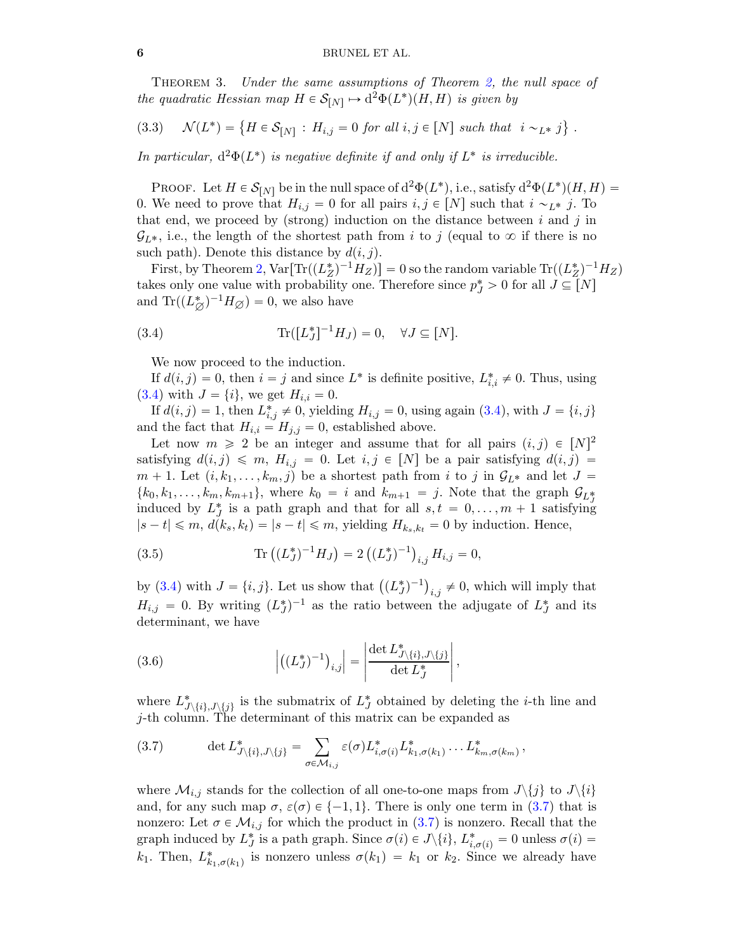Theorem 3. *Under the same assumptions of Theorem [2,](#page-4-2) the null space of the quadratic Hessian map*  $H \in \mathcal{S}_{[N]} \mapsto d^2\Phi(L^*)(H, H)$  *is given by* 

<span id="page-5-4"></span>
$$
(3.3) \quad \mathcal{N}(L^*) = \left\{ H \in \mathcal{S}_{[N]} : H_{i,j} = 0 \text{ for all } i,j \in [N] \text{ such that } i \sim_{L^*} j \right\}.
$$

*In particular,*  $d^2\Phi(L^*)$  *is negative definite if and only if*  $L^*$  *is irreducible.* 

PROOF. Let  $H \in \mathcal{S}_{[N]}$  be in the null space of  $d^2\Phi(L^*),$  i.e., satisfy  $d^2\Phi(L^*)(H, H)$  = 0. We need to prove that  $H_{i,j} = 0$  for all pairs  $i, j \in [N]$  such that  $i \sim_{L^*} j$ . To that end, we proceed by (strong) induction on the distance between  $i$  and  $j$  in  $\mathcal{G}_{L^*}$ , i.e., the length of the shortest path from i to j (equal to  $\infty$  if there is no such path). Denote this distance by  $d(i, j)$ .

First, by Theorem [2,](#page-4-2)  $Var[Tr((L_Z^*)^{-1}H_Z)] = 0$  so the random variable  $Tr((L_Z^*)^{-1}H_Z)$ takes only one value with probability one. Therefore since  $p_J^* > 0$  for all  $J \subseteq [N]$ and  $\text{Tr}((L_{\varnothing}^*)^{-1}H_{\varnothing})=0$ , we also have

(3.4) 
$$
\text{Tr}([L_J^*]^{-1}H_J) = 0, \quad \forall J \subseteq [N].
$$

<span id="page-5-0"></span>We now proceed to the induction.

If  $d(i, j) = 0$ , then  $i = j$  and since  $L^*$  is definite positive,  $L^*_{i,i} \neq 0$ . Thus, using [\(3.4\)](#page-5-0) with  $J = \{i\}$ , we get  $H_{i,i} = 0$ .

If  $d(i, j) = 1$ , then  $L_{i,j}^* \neq 0$ , yielding  $H_{i,j} = 0$ , using again  $(3.4)$ , with  $J = \{i, j\}$ and the fact that  $H_{i,i} = H_{j,j} = 0$ , established above.

Let now  $m \geq 2$  be an integer and assume that for all pairs  $(i, j) \in [N]^2$ satisfying  $d(i, j) \leq m$ ,  $H_{i,j} = 0$ . Let  $i, j \in [N]$  be a pair satisfying  $d(i, j) =$  $m + 1$ . Let  $(i, k_1, \ldots, k_m, j)$  be a shortest path from i to j in  $\mathcal{G}_{L^*}$  and let  $J =$  $\{k_0, k_1, \ldots, k_m, k_{m+1}\},\$  where  $k_0 = i$  and  $k_{m+1} = j$ . Note that the graph  $\mathcal{G}_{L_f^*}$ induced by  $L_J^*$  is a path graph and that for all  $s, t = 0, ..., m + 1$  satisfying  $|s-t| \leq m, d(k_s, k_t) = |s-t| \leq m$ , yielding  $H_{k_s, k_t} = 0$  by induction. Hence,

<span id="page-5-2"></span>(3.5) 
$$
\text{Tr}\left((L_J^*)^{-1}H_J\right) = 2\left((L_J^*)^{-1}\right)_{i,j}H_{i,j} = 0,
$$

by [\(3.4\)](#page-5-0) with  $J = \{i, j\}$ . Let us show that  $((L_J^*)^{-1})_{i, j} \neq 0$ , which will imply that  $H_{i,j} = 0$ . By writing  $(L_J^*)^{-1}$  as the ratio between the adjugate of  $L_J^*$  and its determinant, we have

<span id="page-5-3"></span>(3.6) 
$$
\left| \left( (L_J^*)^{-1} \right)_{i,j} \right| = \left| \frac{\det L_{J \setminus \{i\}, J \setminus \{j\}}^*}{\det L_J^*} \right|,
$$

where  $L^*_{J\setminus\{i\},J\setminus\{j\}}$  is the submatrix of  $L^*_{J}$  obtained by deleting the *i*-th line and j-th column. The determinant of this matrix can be expanded as

<span id="page-5-1"></span>(3.7) 
$$
\det L^*_{J\setminus\{i\},J\setminus\{j\}} = \sum_{\sigma\in\mathcal{M}_{i,j}} \varepsilon(\sigma) L^*_{i,\sigma(i)} L^*_{k_1,\sigma(k_1)} \dots L^*_{k_m,\sigma(k_m)},
$$

where  $\mathcal{M}_{i,j}$  stands for the collection of all one-to-one maps from  $J\setminus\{j\}$  to  $J\setminus\{i\}$ and, for any such map  $\sigma$ ,  $\varepsilon(\sigma) \in \{-1, 1\}$ . There is only one term in [\(3.7\)](#page-5-1) that is nonzero: Let  $\sigma \in \mathcal{M}_{i,j}$  for which the product in [\(3.7\)](#page-5-1) is nonzero. Recall that the graph induced by  $L_J^*$  is a path graph. Since  $\sigma(i) \in J \setminus \{i\}, L_{i, \sigma(i)}^* = 0$  unless  $\sigma(i) =$  $k_1$ . Then,  $L^*_{k_1,\sigma(k_1)}$  is nonzero unless  $\sigma(k_1) = k_1$  or  $k_2$ . Since we already have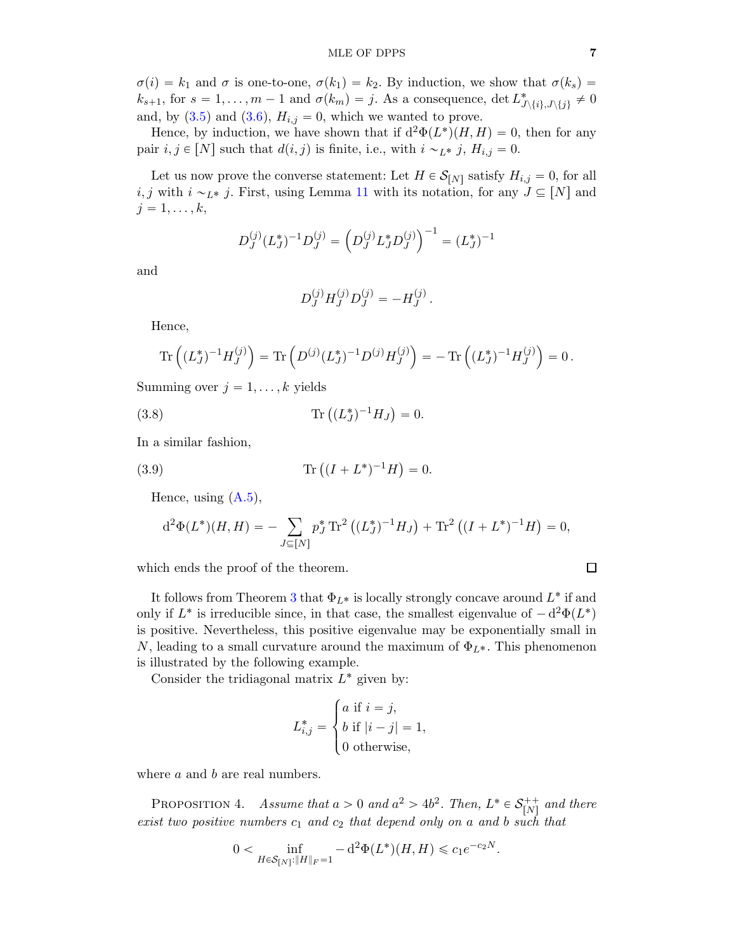$\sigma(i) = k_1$  and  $\sigma$  is one-to-one,  $\sigma(k_1) = k_2$ . By induction, we show that  $\sigma(k_s)$  $k_{s+1}$ , for  $s = 1, ..., m - 1$  and  $\sigma(k_m) = j$ . As a consequence, det  $L^*_{\mathcal{J}\setminus\{i\},\mathcal{J}\setminus\{j\}} \neq 0$ and, by  $(3.5)$  and  $(3.6)$ ,  $H_{i,j} = 0$ , which we wanted to prove.

Hence, by induction, we have shown that if  $d^2\Phi(L^*)(H, H) = 0$ , then for any pair  $i, j \in [N]$  such that  $d(i, j)$  is finite, i.e., with  $i \sim_{L^*} j$ ,  $H_{i,j} = 0$ .

Let us now prove the converse statement: Let  $H \in \mathcal{S}_{[N]}$  satisfy  $H_{i,j} = 0$ , for all i, j with  $i \sim_{L^*} j$ . First, using Lemma [11](#page-15-1) with its notation, for any  $J \subseteq [N]$  and  $j = 1, \ldots, k,$ 

$$
D_J^{(j)}(L_J^*)^{-1}D_J^{(j)} = \left(D_J^{(j)}L_J^*D_J^{(j)}\right)^{-1} = (L_J^*)^{-1}
$$

and

<span id="page-6-1"></span>
$$
D_J^{(j)} H_J^{(j)} D_J^{(j)} = -H_J^{(j)}.
$$

Hence,

$$
\operatorname{Tr}\left((L_J^*)^{-1}H_J^{(j)}\right) = \operatorname{Tr}\left(D^{(j)}(L_J^*)^{-1}D^{(j)}H_J^{(j)}\right) = -\operatorname{Tr}\left((L_J^*)^{-1}H_J^{(j)}\right) = 0\,.
$$

Summing over  $j = 1, \ldots, k$  yields

(3.8) 
$$
\text{Tr}\left((L_J^*)^{-1}H_J\right) = 0.
$$

In a similar fashion,

(3.9) 
$$
\text{Tr}\left((I+L^*)^{-1}H\right) = 0.
$$

Hence, using  $(A.5)$ ,

<span id="page-6-2"></span>
$$
d^{2}\Phi(L^{*})(H,H) = -\sum_{J \subseteq [N]} p_{J}^{*} \operatorname{Tr}^{2} \left( (L_{J}^{*})^{-1} H_{J} \right) + \operatorname{Tr}^{2} \left( (I + L^{*})^{-1} H \right) = 0,
$$

which ends the proof of the theorem.

It follows from Theorem [3](#page-4-0) that  $\Phi_{L^*}$  is locally strongly concave around  $L^*$  if and only if  $L^*$  is irreducible since, in that case, the smallest eigenvalue of  $-d^2\Phi(L^*)$ is positive. Nevertheless, this positive eigenvalue may be exponentially small in N, leading to a small curvature around the maximum of  $\Phi_{L^*}$ . This phenomenon is illustrated by the following example.

Consider the tridiagonal matrix  $L^*$  given by:

$$
L_{i,j}^* = \begin{cases} a \text{ if } i = j, \\ b \text{ if } |i - j| = 1, \\ 0 \text{ otherwise,} \end{cases}
$$

<span id="page-6-0"></span>where *a* and *b* are real numbers.

PROPOSITION 4. *Assume that*  $a > 0$  *and*  $a^2 > 4b^2$ . *Then*,  $L^* \in \mathcal{S}_{[N]}^{++}$  $\binom{n++}{[N]}$  and there *exist two positive numbers*  $c_1$  *and*  $c_2$  *that depend only on* a *and* b *such that* 

$$
0 < \inf_{H \in \mathcal{S}_{[N]} : \|H\|_F = 1} - \mathrm{d}^2 \Phi(L^*)(H, H) \leq c_1 e^{-c_2 N}.
$$

$$
\qquad \qquad \Box
$$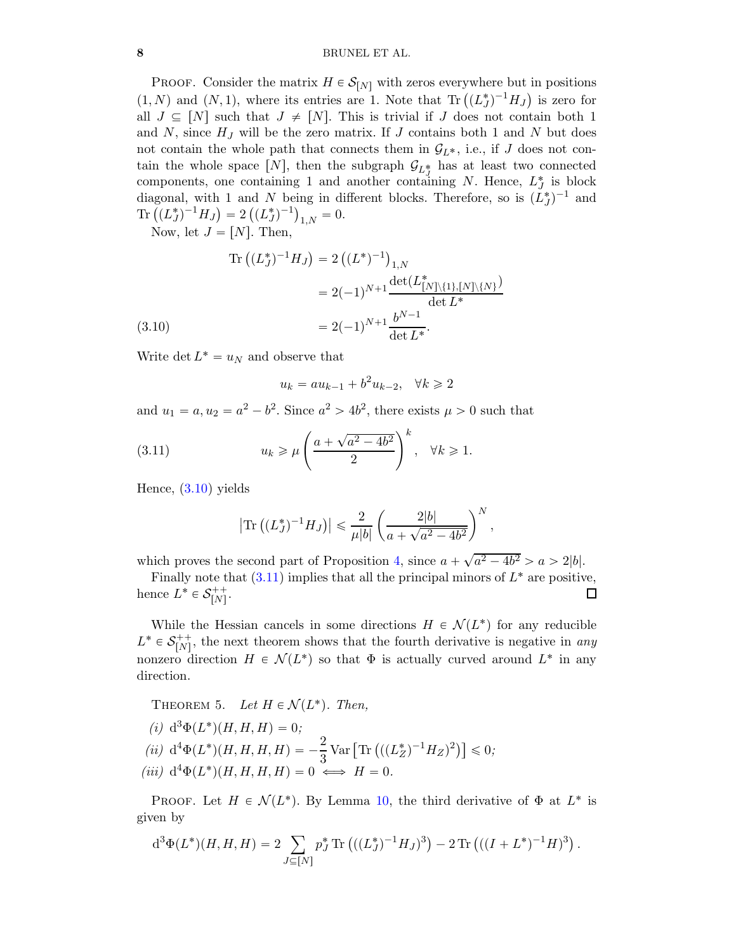### 8 BRUNEL ET AL.

PROOF. Consider the matrix  $H \in \mathcal{S}_{[N]}$  with zeros everywhere but in positions  $(1, N)$  and  $(N, 1)$ , where its entries are 1. Note that Tr  $((L_J^*)^{-1}H_J)$  is zero for all  $J \subseteq [N]$  such that  $J \neq [N]$ . This is trivial if J does not contain both 1 and  $N$ , since  $H_J$  will be the zero matrix. If  $J$  contains both 1 and  $N$  but does not contain the whole path that connects them in  $G_{L^*}$ , i.e., if J does not contain the whole space [N], then the subgraph  $\mathcal{G}_{L_{\mathcal{J}}}$  has at least two connected components, one containing 1 and another containing N. Hence,  $L_J^*$  is block diagonal, with 1 and N being in different blocks. Therefore, so is  $(L_J^*)^{-1}$  and Tr  $((L_J^*)^{-1}H_J) = 2((L_J^*)^{-1})_{1,N} = 0.$ 

Now, let  $J = [N]$ . Then,

$$
\begin{aligned} \text{Tr}\left((L_J^*)^{-1}H_J\right) &= 2\left((L^*)^{-1}\right)_{1,N} \\ &= 2(-1)^{N+1} \frac{\det(L_{[N]\setminus\{1\},[N]\setminus\{N\}}^*)}{\det L^*} \\ &= 2(-1)^{N+1} \frac{b^{N-1}}{\det L^*}. \end{aligned}
$$
\n(3.10)

<span id="page-7-0"></span>Write det  $L^* = u_N$  and observe that

<span id="page-7-1"></span>
$$
u_k = au_{k-1} + b^2 u_{k-2}, \quad \forall k \ge 2
$$

and  $u_1 = a, u_2 = a^2 - b^2$ . Since  $a^2 > 4b^2$ , there exists  $\mu > 0$  such that

(3.11) 
$$
u_k \ge \mu \left(\frac{a + \sqrt{a^2 - 4b^2}}{2}\right)^k, \quad \forall k \ge 1.
$$

Hence, [\(3.10\)](#page-7-0) yields

$$
|\text{Tr}((L_J^*)^{-1}H_J)| \leq \frac{2}{\mu |b|} \left( \frac{2|b|}{a + \sqrt{a^2 - 4b^2}} \right)^N,
$$

which proves the second part of Proposition [4,](#page-6-0) since  $a + \sqrt{a^2 - 4b^2} > a > 2|b|$ .

Finally note that  $(3.11)$  implies that all the principal minors of  $L^*$  are positive, hence  $L^* \in \mathcal{S}_{[N]}^{++}$ '++ $\left[ N\right]$ ' □

While the Hessian cancels in some directions  $H \in \mathcal{N}(L^*)$  for any reducible  $L^* \in \mathcal{S}_{[N]}^{++}$  $\binom{++}{[N]}$ , the next theorem shows that the fourth derivative is negative in *any* nonzero direction  $H \in \mathcal{N}(L^*)$  so that  $\Phi$  is actually curved around  $L^*$  in any direction.

<span id="page-7-2"></span>THEOREM 5. Let  $H \in \mathcal{N}(L^*)$ . Then,

- $(i) d^3\Phi(L^*)(H, H, H) = 0;$
- $(iii) d<sup>4</sup> \Phi(L^*)(H, H, H, H) = -\frac{2}{3} \text{Var} \left[ \text{Tr} \left( ((L_Z^*)^{-1} H_Z)^2 \right) \right] \leq 0;$  $(iii)$   $d^4\Phi(L^*)(H, H, H, H) = 0 \iff H = 0.$

PROOF. Let  $H \in \mathcal{N}(L^*)$ . By Lemma [10,](#page-15-0) the third derivative of  $\Phi$  at  $L^*$  is given by

$$
d^{3}\Phi(L^{*})(H, H, H) = 2 \sum_{J \subseteq [N]} p_{J}^{*} \text{Tr} ((L_{J}^{*})^{-1} H_{J})^{3} - 2 \text{Tr} ((I + L^{*})^{-1} H)^{3}).
$$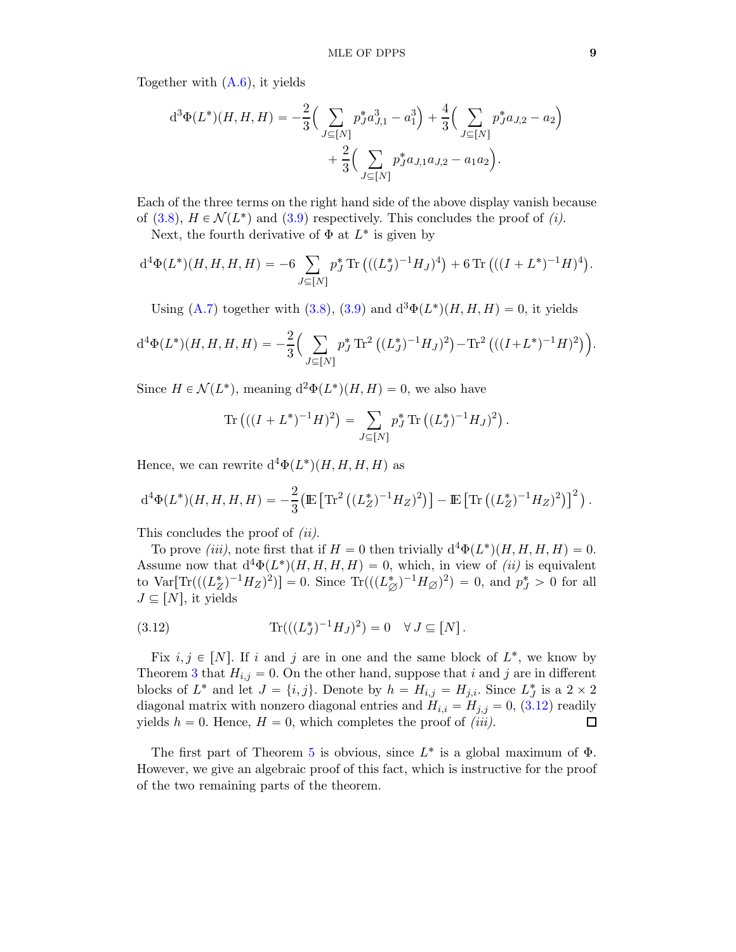Together with [\(A.6\)](#page-15-2), it yields

$$
d^{3}\Phi(L^{*})(H, H, H) = -\frac{2}{3} \left( \sum_{J \subseteq [N]} p_{J}^{*} a_{J,1}^{3} - a_{1}^{3} \right) + \frac{4}{3} \left( \sum_{J \subseteq [N]} p_{J}^{*} a_{J,2} - a_{2} \right) + \frac{2}{3} \left( \sum_{J \subseteq [N]} p_{J}^{*} a_{J,1} a_{J,2} - a_{1} a_{2} \right).
$$

Each of the three terms on the right hand side of the above display vanish because of [\(3.8\)](#page-6-1),  $H \in \mathcal{N}(L^*)$  and [\(3.9\)](#page-6-2) respectively. This concludes the proof of *(i)*.

Next, the fourth derivative of  $\Phi$  at  $L^*$  is given by

$$
d^{4}\Phi(L^{*})(H, H, H, H) = -6 \sum_{J \subseteq [N]} p_{J}^{*} \text{Tr} \left( ((L_{J}^{*})^{-1} H_{J})^{4} \right) + 6 \text{Tr} \left( ((I + L^{*})^{-1} H)^{4} \right).
$$

Using [\(A.7\)](#page-15-3) together with [\(3.8\)](#page-6-1), [\(3.9\)](#page-6-2) and  $d^3\Phi(L^*)(H, H, H) = 0$ , it yields

$$
d^{4}\Phi(L^{*})(H, H, H, H) = -\frac{2}{3} \Big(\sum_{J \subseteq [N]} p_{J}^{*} \text{Tr}^{2} ((L_{J}^{*})^{-1} H_{J})^{2} - \text{Tr}^{2} (((I + L^{*})^{-1} H)^{2})\Big).
$$

Since  $H \in \mathcal{N}(L^*)$ , meaning  $d^2\Phi(L^*)(H, H) = 0$ , we also have

Tr 
$$
((I + L^*)^{-1}H)^2
$$
 =  $\sum_{J \subseteq [N]} p_J^* \text{Tr} ((L_J^*)^{-1}H_J)^2$ .

Hence, we can rewrite  $d^4\Phi(L^*)(H, H, H, H)$  as

$$
d^{4}\Phi(L^{*})(H, H, H, H) = -\frac{2}{3} \left( \mathbb{E} \left[ \text{Tr}^{2} \left( (L_{Z}^{*})^{-1} H_{Z})^{2} \right) \right] - \mathbb{E} \left[ \text{Tr} \left( (L_{Z}^{*})^{-1} H_{Z})^{2} \right) \right]^{2} \right).
$$

This concludes the proof of *(ii)*.

To prove *(iii)*, note first that if  $H = 0$  then trivially  $d^4\Phi(L^*)(H, H, H, H) = 0$ . Assume now that  $d^4\Phi(L^*)(H, H, H, H) = 0$ , which, in view of *(ii)* is equivalent to  $\text{Var}[\text{Tr}(((L_Z^*)^{-1}H_Z)^2)] = 0$ . Since  $\text{Tr}(((L_{\varnothing}^*)^{-1}H_{\varnothing})^2) = 0$ , and  $p_J^* > 0$  for all  $J \subseteq [N]$ , it yields

<span id="page-8-0"></span>(3.12) 
$$
\text{Tr}(((L_J^*)^{-1}H_J)^2) = 0 \quad \forall J \subseteq [N].
$$

Fix  $i, j \in [N]$ . If i and j are in one and the same block of  $L^*$ , we know by Theorem [3](#page-4-0) that  $H_{i,j} = 0$ . On the other hand, suppose that i and j are in different blocks of  $L^*$  and let  $J = \{i, j\}$ . Denote by  $h = H_{i,j} = H_{j,i}$ . Since  $L_J^*$  is a  $2 \times 2$ diagonal matrix with nonzero diagonal entries and  $H_{i,i} = H_{j,j} = 0$ , [\(3.12\)](#page-8-0) readily yields  $h = 0$ . Hence,  $H = 0$ , which completes the proof of *(iii)*.  $\Box$ 

The first part of Theorem [5](#page-7-2) is obvious, since  $L^*$  is a global maximum of  $\Phi$ . However, we give an algebraic proof of this fact, which is instructive for the proof of the two remaining parts of the theorem.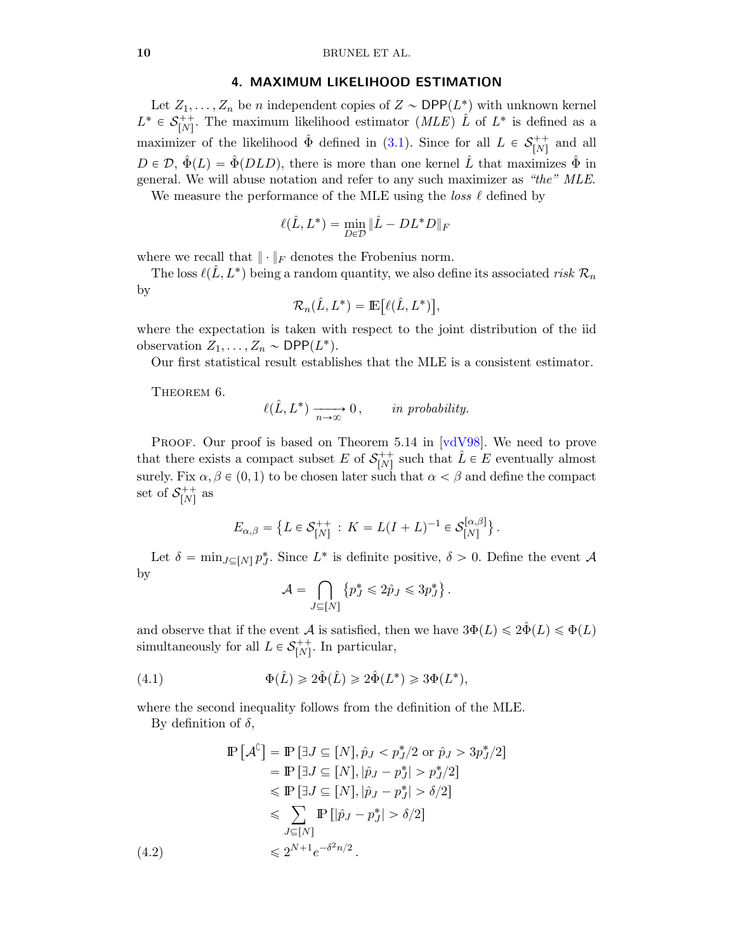#### 4. MAXIMUM LIKELIHOOD ESTIMATION

<span id="page-9-0"></span>Let  $Z_1, \ldots, Z_n$  be n independent copies of  $Z \sim \text{DPP}(L^*)$  with unknown kernel  $L^* \in \mathcal{S}_{[N]}^{++}$ <sup>++</sup>; The maximum likelihood estimator (*MLE*)  $\hat{L}$  of  $L^*$  is defined as a maximizer of the likelihood  $\hat{\Phi}$  defined in ([3.1\)](#page-3-1). Since for all  $L \in \mathcal{S}_{[N]}^{++}$  $\begin{bmatrix}N\end{bmatrix}$  and all  $D \in \mathcal{D}, \ \hat{\Phi}(L) = \hat{\Phi}(DLD)$ , there is more than one kernel  $\hat{L}$  that maximizes  $\hat{\Phi}$  in general. We will abuse notation and refer to any such maximizer as *"the" MLE*.

We measure the performance of the MLE using the *loss* ℓ defined by

$$
\ell(\hat{L}, L^*) = \min_{D \in \mathcal{D}} \|\hat{L} - DL^*D\|_F
$$

where we recall that  $\|\cdot\|_F$  denotes the Frobenius norm.

The loss  $\ell(\hat{L}, L^*)$  being a random quantity, we also define its associated *risk*  $\mathcal{R}_n$ by

$$
\mathcal{R}_n(\hat{L}, L^*) = \mathbb{E}\big[\ell(\hat{L}, L^*)\big],
$$

where the expectation is taken with respect to the joint distribution of the iid observation  $Z_1, \ldots, Z_n \sim \text{DPP}(L^*).$ 

<span id="page-9-3"></span>Our first statistical result establishes that the MLE is a consistent estimator.

THEOREM 6.

$$
\ell(\hat{L}, L^*) \xrightarrow[n \to \infty]{} 0, \qquad \text{in probability.}
$$

PROOF. Our proof is based on Theorem 5.14 in [\[vdV98\]](#page-13-14). We need to prove that there exists a compact subset E of  $S_{[N]}^{++}$  $\hat{L}$ <sup>++</sup> such that  $\hat{L} \in E$  eventually almost surely. Fix  $\alpha, \beta \in (0, 1)$  to be chosen later such that  $\alpha < \beta$  and define the compact set of  $S^{++}_{[N]}$  $\binom{r+1}{[N]}$  as

$$
E_{\alpha,\beta} = \left\{ L \in \mathcal{S}_{[N]}^{++} : K = L(I+L)^{-1} \in \mathcal{S}_{[N]}^{[\alpha,\beta]} \right\}.
$$

Let  $\delta = \min_{J \subseteq [N]} p_J^*$ . Since  $L^*$  is definite positive,  $\delta > 0$ . Define the event A by

<span id="page-9-1"></span>
$$
\mathcal{A} = \bigcap_{J \subseteq [N]} \left\{ p_J^* \leqslant 2\hat{p}_J \leqslant 3p_J^* \right\}.
$$

and observe that if the event A is satisfied, then we have  $3\Phi(L) \leq 2\hat{\Phi}(L) \leq \Phi(L)$ simultaneously for all  $L \in \mathcal{S}_{[N]}^{++}$  $N<sub>[N]</sub><sup>++</sup>$ . In particular,

(4.1) 
$$
\Phi(\hat{L}) \geq 2\hat{\Phi}(\hat{L}) \geq 2\hat{\Phi}(L^*) \geq 3\Phi(L^*),
$$

where the second inequality follows from the definition of the MLE.

By definition of  $\delta$ ,

<span id="page-9-2"></span> $(4.2)$ 

$$
\mathbb{P}\left[\mathcal{A}^{\complement}\right] = \mathbb{P}\left[\exists J \subseteq [N], \hat{p}_J < p_J^*/2 \text{ or } \hat{p}_J > 3p_J^*/2\right] \\
= \mathbb{P}\left[\exists J \subseteq [N], |\hat{p}_J - p_J^*| > p_J^*/2\right] \\
\leq \mathbb{P}\left[\exists J \subseteq [N], |\hat{p}_J - p_J^*| > \delta/2\right] \\
\leq \sum_{J \subseteq [N]} \mathbb{P}\left[|\hat{p}_J - p_J^*| > \delta/2\right] \\
\leq 2^{N+1} e^{-\delta^2 n/2}.
$$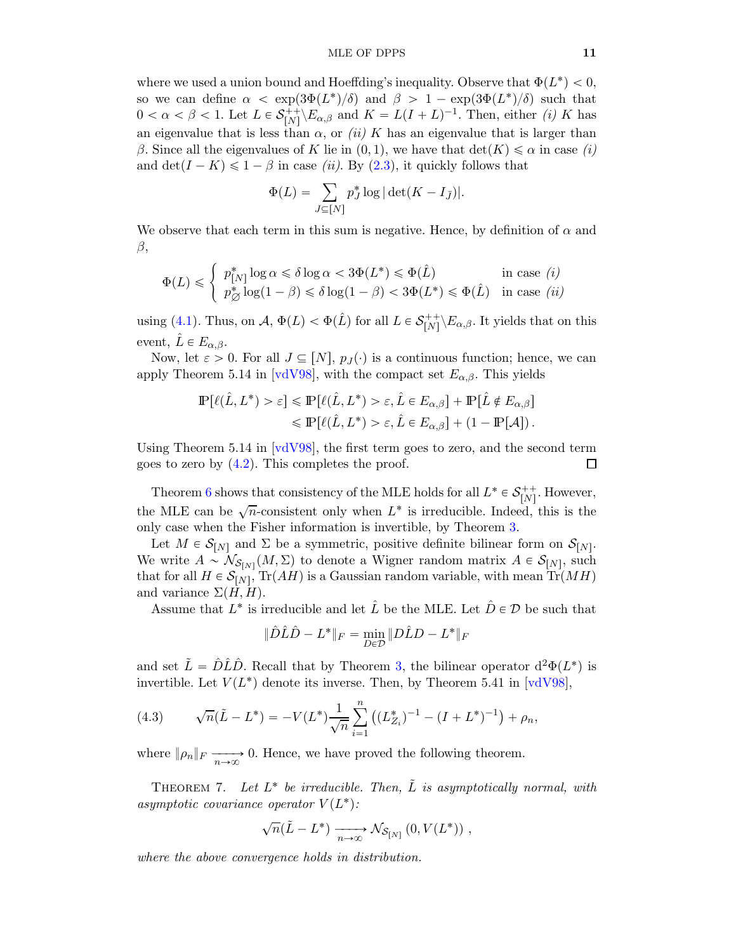where we used a union bound and Hoeffding's inequality. Observe that  $\Phi(L^*) < 0$ , so we can define  $\alpha < \exp(3\Phi(L^*)/\delta)$  and  $\beta > 1 - \exp(3\Phi(L^*)/\delta)$  such that  $0 < \alpha < \beta < 1$ . Let  $L \in \mathcal{S}_{[N]}^{++}$  $\binom{m}{[N]}$   $E_{\alpha,\beta}$  and  $K = L(I+L)^{-1}$ . Then, either *(i)* K has an eigenvalue that is less than  $\alpha$ , or *(ii)* K has an eigenvalue that is larger than β. Since all the eigenvalues of K lie in  $(0, 1)$ , we have that  $\det(K) \leq \alpha$  in case *(i)* and  $\det(I - K) \leq 1 - \beta$  in case *(ii)*. By ([2](#page-2-3).3), it quickly follows that

$$
\Phi(L) = \sum_{J \subseteq [N]} p_J^* \log |\det(K - I_{\bar{J}})|.
$$

We observe that each term in this sum is negative. Hence, by definition of  $\alpha$  and  $\beta$ ,

$$
\Phi(L) \leq \begin{cases} p_{[N]}^* \log \alpha \leq \delta \log \alpha < 3\Phi(L^*) \leq \Phi(\hat{L}) & \text{in case } (i) \\ p_{\oslash}^* \log(1-\beta) \leq \delta \log(1-\beta) < 3\Phi(L^*) \leq \Phi(\hat{L}) & \text{in case } (ii) \end{cases}
$$

using [\(4.1\)](#page-9-1). Thus, on  $\mathcal{A}, \Phi(L) < \Phi(\hat{L})$  for all  $L \in \mathcal{S}_{[N]}^{++}$  $\prod_{[N]}^{++} \backslash E_{\alpha,\beta}$ . It yields that on this event,  $L \in E_{\alpha,\beta}$ .

Now, let  $\varepsilon > 0$ . For all  $J \subseteq [N], p_J(\cdot)$  is a continuous function; hence, we can apply Theorem 5.14 in [\[vdV98\]](#page-13-14), with the compact set  $E_{\alpha,\beta}$ . This yields

$$
\mathbb{P}[\ell(\hat{L}, L^*) > \varepsilon] \le \mathbb{P}[\ell(\hat{L}, L^*) > \varepsilon, \hat{L} \in E_{\alpha, \beta}] + \mathbb{P}[\hat{L} \notin E_{\alpha, \beta}]
$$
  

$$
\le \mathbb{P}[\ell(\hat{L}, L^*) > \varepsilon, \hat{L} \in E_{\alpha, \beta}] + (1 - \mathbb{P}[\mathcal{A}]).
$$

Using Theorem 5.14 in [\[vdV98\]](#page-13-14), the first term goes to zero, and the second term goes to zero by  $(4.2)$ . This completes the proof. □

Theorem [6](#page-9-3) shows that consistency of the MLE holds for all  $L^* \in \mathcal{S}_{[N]}^{++}$  $N<sup>++</sup>$ . However, the MLE can be  $\sqrt{n}$ -consistent only when  $L^*$  is irreducible. Indeed, this is the only case when the Fisher information is invertible, by Theorem [3.](#page-4-0)

Let  $M \in \mathcal{S}_{[N]}$  and  $\Sigma$  be a symmetric, positive definite bilinear form on  $\mathcal{S}_{[N]}$ . We write  $A \sim \mathcal{N}_{\mathcal{S}_{[N]}}(M,\Sigma)$  to denote a Wigner random matrix  $A \in \mathcal{S}_{[N]}$ , such that for all  $H \in \mathcal{S}_{[N]}$ ,  $\text{Tr}(AH)$  is a Gaussian random variable, with mean  $\text{Tr}(MH)$ and variance  $\Sigma(H, H)$ .

Assume that  $L^*$  is irreducible and let  $\hat{L}$  be the MLE. Let  $\hat{D} \in \mathcal{D}$  be such that

$$
\|\hat{D}\hat{L}\hat{D} - L^*\|_F = \min_{D \in \mathcal{D}} \|D\hat{L}D - L^*\|_F
$$

and set  $\tilde{L} = \hat{D}\hat{L}\hat{D}$ . Recall that by Theorem [3,](#page-4-0) the bilinear operator  $d^2\Phi(L^*)$  is invertible. Let  $V(L^*)$  denote its inverse. Then, by Theorem 5.41 in [\[vdV98\]](#page-13-14),

(4.3) 
$$
\sqrt{n}(\tilde{L} - L^*) = -V(L^*) \frac{1}{\sqrt{n}} \sum_{i=1}^n \left( (L_{Z_i}^*)^{-1} - (I + L^*)^{-1} \right) + \rho_n,
$$

<span id="page-10-0"></span>where  $\|\rho_n\|_F \longrightarrow 0$ . Hence, we have proved the following theorem.

THEOREM 7. Let  $L^*$  be irreducible. Then,  $\tilde{L}$  is asymptotically normal, with  $asymptotic\ covariance\ operator\ V(L^*)$ :

$$
\sqrt{n}(\tilde{L} - L^*) \xrightarrow[n \to \infty]{} \mathcal{N}_{\mathcal{S}_{[N]}}(0, V(L^*)) ,
$$

*where the above convergence holds in distribution.*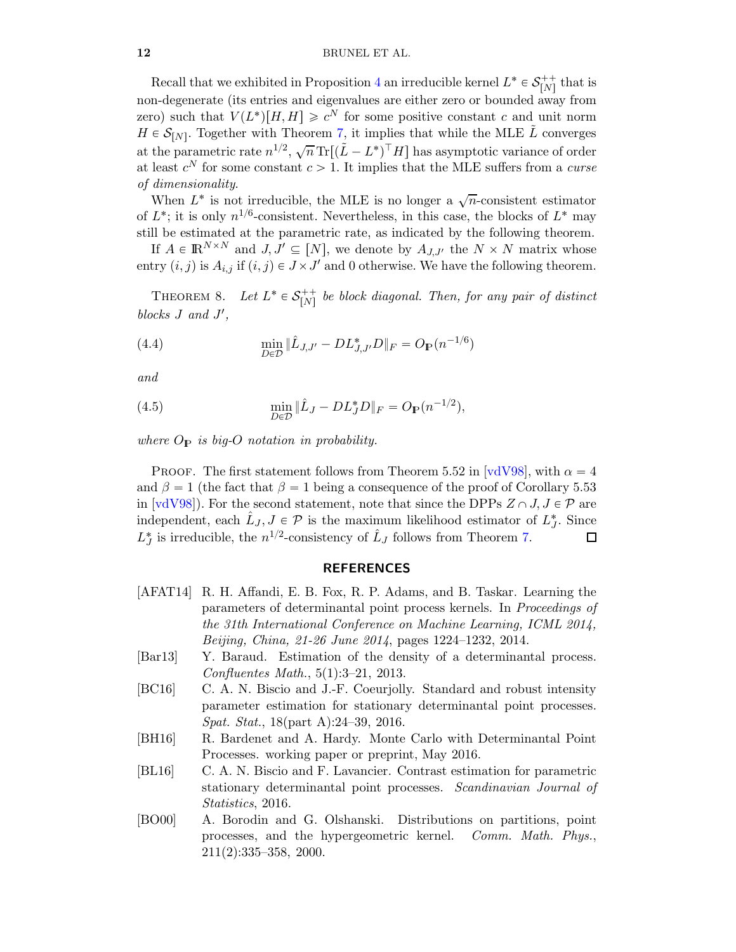Recall that we exhibited in Proposition [4](#page-6-0) an irreducible kernel  $L^* \in \mathcal{S}_{[N]}^{++}$  $\prod_{i=1}^{n+1}$  that is non-degenerate (its entries and eigenvalues are either zero or bounded away from zero) such that  $V(L^*)[H, H] \geq c^N$  for some positive constant c and unit norm  $H \in \mathcal{S}_{[N]}$ . Together with Theorem [7,](#page-10-0) it implies that while the MLE  $\tilde{L}$  converges at the parametric rate  $n^{1/2}$ ,  $\sqrt{n} \text{Tr}[(\tilde{L} - L^*)^\top H]$  has asymptotic variance of order at least  $c^N$  for some constant  $c > 1$ . It implies that the MLE suffers from a *curse of dimensionality*.

When  $L^*$  is not irreducible, the MLE is no longer a  $\sqrt{n}$ -consistent estimator of  $L^*$ ; it is only  $n^{1/6}$ -consistent. Nevertheless, in this case, the blocks of  $L^*$  may still be estimated at the parametric rate, as indicated by the following theorem.

If  $A \in \mathbb{R}^{N \times N}$  and  $J, J' \subseteq [N]$ , we denote by  $A_{J,J'}$  the  $N \times N$  matrix whose entry  $(i, j)$  is  $A_{i,j}$  if  $(i, j) \in J \times J'$  and 0 otherwise. We have the following theorem.

THEOREM 8. Let  $L^* \in \mathcal{S}_{[N]}^{++}$  $\begin{array}{c} t_{n+1}^{++} \equiv h_{n+1}^{++} \equiv h_{n+1}^{++} \equiv h_{n+1}^{++} \equiv h_{n+1}^{++} \equiv h_{n+1}^{++} \equiv h_{n+1}^{++} \equiv h_{n+1}^{++} \equiv h_{n+1}^{++} \equiv h_{n+1}^{++} \equiv h_{n+1}^{++} \equiv h_{n+1}^{++} \equiv h_{n+1}^{++} \equiv h_{n+1}^{++} \equiv h_{n+1}^{++} \equiv h_{n+1}^{++} \equiv h_{n+1}^{++} \equiv h_{n+1}^{++} \equiv h_{n+1}^{++} \equiv h_{n+$ blocks *J* and *J'*,

(4.4) 
$$
\min_{D \in \mathcal{D}} \|\hat{L}_{J,J'} - DL_{J,J'}^*D\|_F = O_P(n^{-1/6})
$$

*and*

(4.5) 
$$
\min_{D \in \mathcal{D}} \|\hat{L}_J - DL_J^* D\|_F = O_{\mathbb{P}}(n^{-1/2}),
$$

*where*  $O_P$  *is big-O notation in probability.* 

PROOF. The first statement follows from Theorem 5.52 in [\[vdV98\]](#page-13-14), with  $\alpha = 4$ and  $\beta = 1$  (the fact that  $\beta = 1$  being a consequence of the proof of Corollary 5.53 in [\[vdV98\]](#page-13-14)). For the second statement, note that since the DPPs  $Z \cap J, J \in \mathcal{P}$  are independent, each  $\hat{L}_J$ ,  $J \in \mathcal{P}$  is the maximum likelihood estimator of  $L_J^*$ . Since  $L_J^*$  is irreducible, the  $n^{1/2}$ -consistency of  $\hat{L}_J$  follows from Theorem [7.](#page-10-0)  $\Box$ 

#### REFERENCES

- <span id="page-11-1"></span>[AFAT14] R. H. Affandi, E. B. Fox, R. P. Adams, and B. Taskar. Learning the parameters of determinantal point process kernels. In *Proceedings of the 31th International Conference on Machine Learning, ICML 2014, Beijing, China, 21-26 June 2014*, pages 1224–1232, 2014.
- <span id="page-11-5"></span>[Bar13] Y. Baraud. Estimation of the density of a determinantal process. *Confluentes Math.*, 5(1):3–21, 2013.
- <span id="page-11-2"></span>[BC16] C. A. N. Biscio and J.-F. Coeurjolly. Standard and robust intensity parameter estimation for stationary determinantal point processes. *Spat. Stat.*, 18(part A):24–39, 2016.
- <span id="page-11-3"></span>[BH16] R. Bardenet and A. Hardy. Monte Carlo with Determinantal Point Processes. working paper or preprint, May 2016.
- <span id="page-11-4"></span>[BL16] C. A. N. Biscio and F. Lavancier. Contrast estimation for parametric stationary determinantal point processes. *Scandinavian Journal of Statistics*, 2016.
- <span id="page-11-0"></span>[BO00] A. Borodin and G. Olshanski. Distributions on partitions, point processes, and the hypergeometric kernel. *Comm. Math. Phys.*, 211(2):335–358, 2000.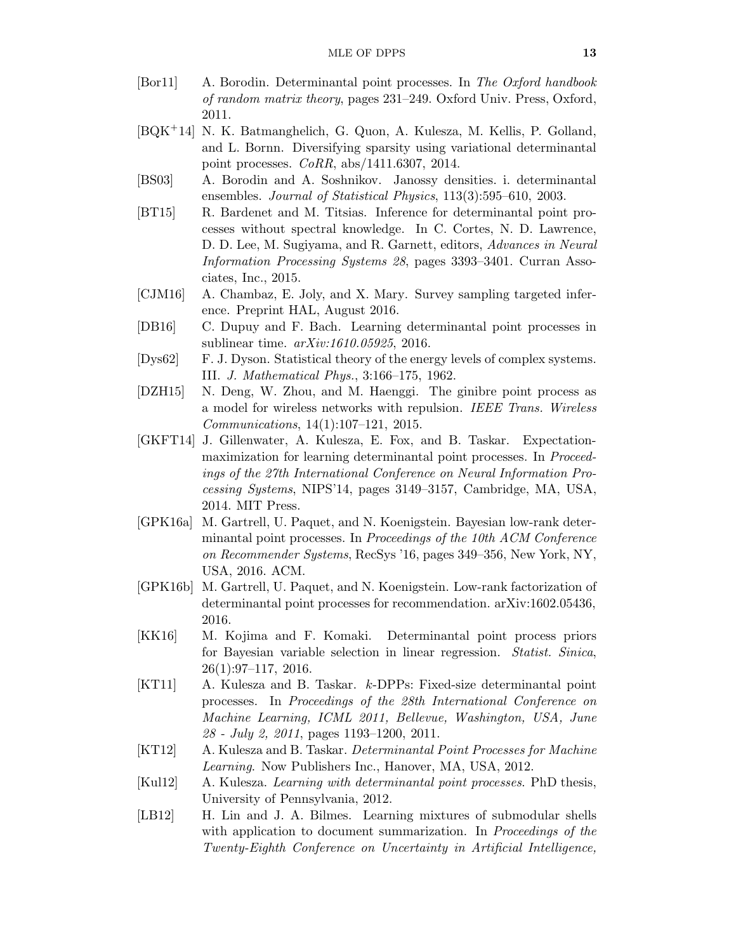- <span id="page-12-2"></span>[Bor11] A. Borodin. Determinantal point processes. In *The Oxford handbook of random matrix theory*, pages 231–249. Oxford Univ. Press, Oxford, 2011.
- <span id="page-12-6"></span>[BQK`14] N. K. Batmanghelich, G. Quon, A. Kulesza, M. Kellis, P. Golland, and L. Bornn. Diversifying sparsity using variational determinantal point processes. *CoRR*, abs/1411.6307, 2014.
- <span id="page-12-1"></span>[BS03] A. Borodin and A. Soshnikov. Janossy densities. i. determinantal ensembles. *Journal of Statistical Physics*, 113(3):595–610, 2003.
- <span id="page-12-11"></span>[BT15] R. Bardenet and M. Titsias. Inference for determinantal point processes without spectral knowledge. In C. Cortes, N. D. Lawrence, D. D. Lee, M. Sugiyama, and R. Garnett, editors, *Advances in Neural Information Processing Systems 28*, pages 3393–3401. Curran Associates, Inc., 2015.
- <span id="page-12-9"></span>[CJM16] A. Chambaz, E. Joly, and X. Mary. Survey sampling targeted inference. Preprint HAL, August 2016.
- <span id="page-12-12"></span>[DB16] C. Dupuy and F. Bach. Learning determinantal point processes in sublinear time. *arXiv:1610.05925*, 2016.
- <span id="page-12-0"></span>[Dys62] F. J. Dyson. Statistical theory of the energy levels of complex systems. III. *J. Mathematical Phys.*, 3:166–175, 1962.
- <span id="page-12-7"></span>[DZH15] N. Deng, W. Zhou, and M. Haenggi. The ginibre point process as a model for wireless networks with repulsion. *IEEE Trans. Wireless Communications*, 14(1):107–121, 2015.
- <span id="page-12-10"></span>[GKFT14] J. Gillenwater, A. Kulesza, E. Fox, and B. Taskar. Expectationmaximization for learning determinantal point processes. In *Proceedings of the 27th International Conference on Neural Information Processing Systems*, NIPS'14, pages 3149–3157, Cambridge, MA, USA, 2014. MIT Press.
- <span id="page-12-13"></span>[GPK16a] M. Gartrell, U. Paquet, and N. Koenigstein. Bayesian low-rank determinantal point processes. In *Proceedings of the 10th ACM Conference on Recommender Systems*, RecSys '16, pages 349–356, New York, NY, USA, 2016. ACM.
- <span id="page-12-14"></span>[GPK16b] M. Gartrell, U. Paquet, and N. Koenigstein. Low-rank factorization of determinantal point processes for recommendation. arXiv:1602.05436, 2016.
- <span id="page-12-8"></span>[KK16] M. Kojima and F. Komaki. Determinantal point process priors for Bayesian variable selection in linear regression. *Statist. Sinica*, 26(1):97–117, 2016.
- <span id="page-12-5"></span>[KT11] A. Kulesza and B. Taskar. k-DPPs: Fixed-size determinantal point processes. In *Proceedings of the 28th International Conference on Machine Learning, ICML 2011, Bellevue, Washington, USA, June 28 - July 2, 2011*, pages 1193–1200, 2011.
- <span id="page-12-3"></span>[KT12] A. Kulesza and B. Taskar. *Determinantal Point Processes for Machine Learning*. Now Publishers Inc., Hanover, MA, USA, 2012.
- <span id="page-12-15"></span>[Kul12] A. Kulesza. *Learning with determinantal point processes*. PhD thesis, University of Pennsylvania, 2012.
- <span id="page-12-4"></span>[LB12] H. Lin and J. A. Bilmes. Learning mixtures of submodular shells with application to document summarization. In *Proceedings of the Twenty-Eighth Conference on Uncertainty in Artificial Intelligence,*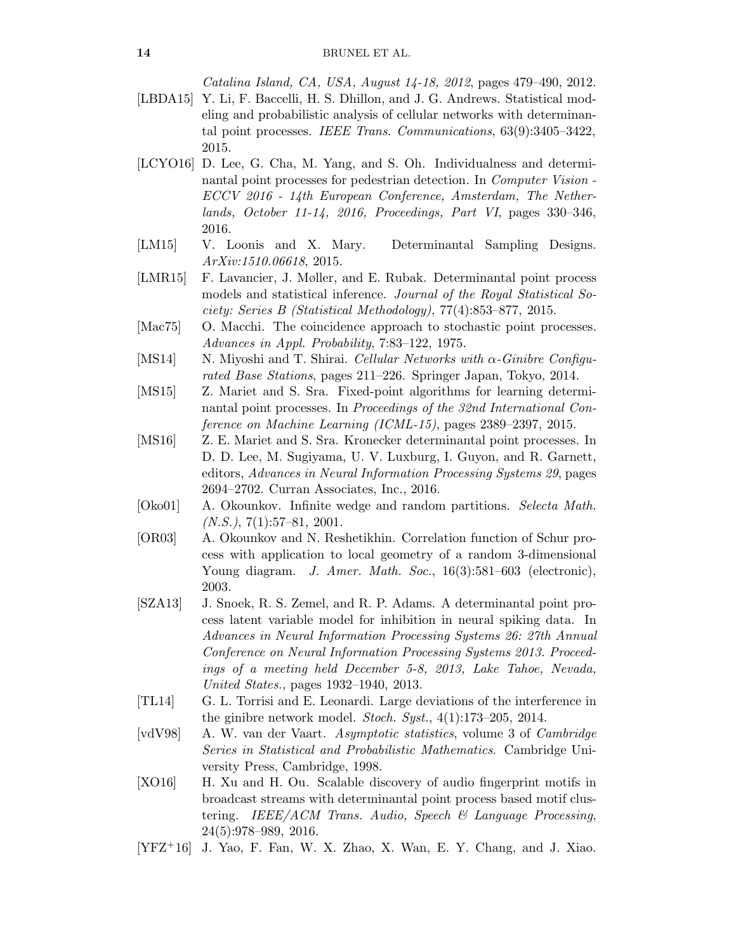*Catalina Island, CA, USA, August 14-18, 2012*, pages 479–490, 2012.

- <span id="page-13-9"></span>[LBDA15] Y. Li, F. Baccelli, H. S. Dhillon, and J. G. Andrews. Statistical modeling and probabilistic analysis of cellular networks with determinantal point processes. *IEEE Trans. Communications*, 63(9):3405–3422, 2015.
- <span id="page-13-5"></span>[LCYO16] D. Lee, G. Cha, M. Yang, and S. Oh. Individualness and determinantal point processes for pedestrian detection. In *Computer Vision - ECCV 2016 - 14th European Conference, Amsterdam, The Netherlands, October 11-14, 2016, Proceedings, Part VI*, pages 330–346, 2016.
- <span id="page-13-10"></span>[LM15] V. Loonis and X. Mary. Determinantal Sampling Designs. *ArXiv:1510.06618*, 2015.
- <span id="page-13-13"></span>[LMR15] F. Lavancier, J. Møller, and E. Rubak. Determinantal point process models and statistical inference. *Journal of the Royal Statistical Society: Series B (Statistical Methodology)*, 77(4):853–877, 2015.
- <span id="page-13-0"></span>[Mac75] O. Macchi. The coincidence approach to stochastic point processes. *Advances in Appl. Probability*, 7:83–122, 1975.
- <span id="page-13-7"></span>[MS14] N. Miyoshi and T. Shirai. *Cellular Networks with* α*-Ginibre Configurated Base Stations*, pages 211–226. Springer Japan, Tokyo, 2014.
- <span id="page-13-11"></span>[MS15] Z. Mariet and S. Sra. Fixed-point algorithms for learning determinantal point processes. In *Proceedings of the 32nd International Conference on Machine Learning (ICML-15)*, pages 2389–2397, 2015.
- <span id="page-13-12"></span>[MS16] Z. E. Mariet and S. Sra. Kronecker determinantal point processes. In D. D. Lee, M. Sugiyama, U. V. Luxburg, I. Guyon, and R. Garnett, editors, *Advances in Neural Information Processing Systems 29*, pages 2694–2702. Curran Associates, Inc., 2016.
- <span id="page-13-1"></span>[Oko01] A. Okounkov. Infinite wedge and random partitions. *Selecta Math. (N.S.)*, 7(1):57–81, 2001.
- <span id="page-13-2"></span>[OR03] A. Okounkov and N. Reshetikhin. Correlation function of Schur process with application to local geometry of a random 3-dimensional Young diagram. *J. Amer. Math. Soc.*, 16(3):581–603 (electronic), 2003.
- <span id="page-13-6"></span>[SZA13] J. Snoek, R. S. Zemel, and R. P. Adams. A determinantal point process latent variable model for inhibition in neural spiking data. In *Advances in Neural Information Processing Systems 26: 27th Annual Conference on Neural Information Processing Systems 2013. Proceedings of a meeting held December 5-8, 2013, Lake Tahoe, Nevada, United States.*, pages 1932–1940, 2013.
- <span id="page-13-8"></span>[TL14] G. L. Torrisi and E. Leonardi. Large deviations of the interference in the ginibre network model. *Stoch. Syst.*, 4(1):173–205, 2014.
- <span id="page-13-14"></span>[vdV98] A. W. van der Vaart. *Asymptotic statistics*, volume 3 of *Cambridge Series in Statistical and Probabilistic Mathematics*. Cambridge University Press, Cambridge, 1998.
- <span id="page-13-4"></span>[XO16] H. Xu and H. Ou. Scalable discovery of audio fingerprint motifs in broadcast streams with determinantal point process based motif clustering. *IEEE/ACM Trans. Audio, Speech & Language Processing*, 24(5):978–989, 2016.
- <span id="page-13-3"></span> $[YFZ^+16]$  J. Yao, F. Fan, W. X. Zhao, X. Wan, E. Y. Chang, and J. Xiao.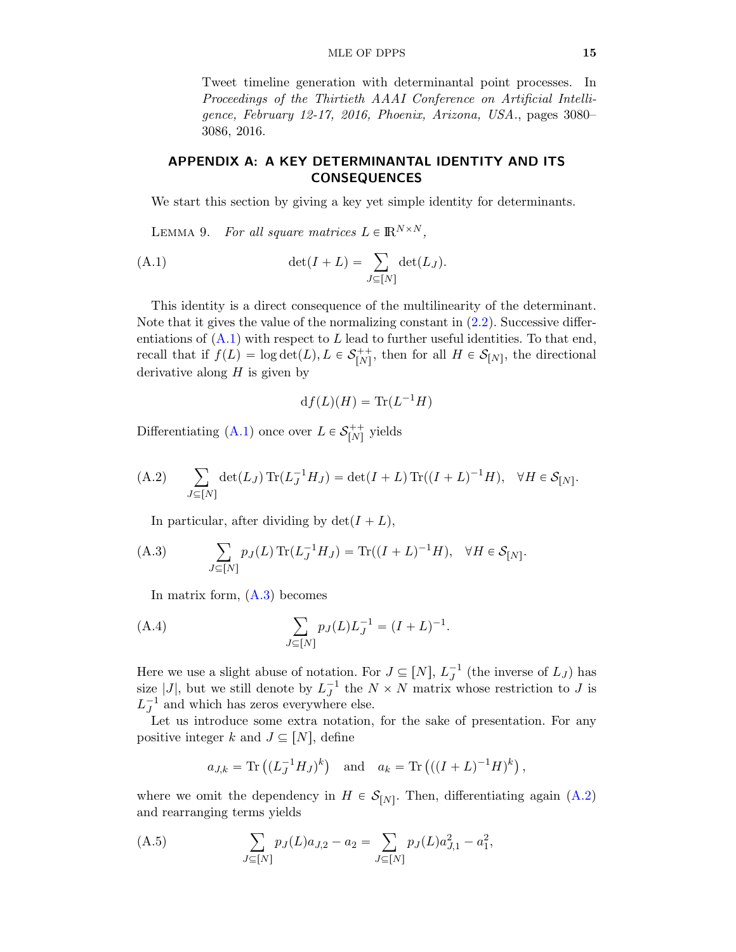#### MLE OF DPPS 15

Tweet timeline generation with determinantal point processes. In *Proceedings of the Thirtieth AAAI Conference on Artificial Intelligence, February 12-17, 2016, Phoenix, Arizona, USA.*, pages 3080– 3086, 2016.

# APPENDIX A: A KEY DETERMINANTAL IDENTITY AND ITS CONSEQUENCES

<span id="page-14-0"></span>We start this section by giving a key yet simple identity for determinants.

<span id="page-14-3"></span>LEMMA 9. *For all square matrices*  $L \in \mathbb{R}^{N \times N}$ ,

$$
\det(I+L) = \sum_{J \subseteq [N]} \det(L_J).
$$

This identity is a direct consequence of the multilinearity of the determinant. Note that it gives the value of the normalizing constant in  $(2.2)$ . Successive differentiations of  $(A.1)$  with respect to L lead to further useful identities. To that end, recall that if  $f(L) = \log \det(L), L \in \mathcal{S}_{[N]}^{++}$  $\begin{bmatrix} ++ \\ [N] \end{bmatrix}$ , then for all  $H \in \mathcal{S}_{[N]}$ , the directional derivative along  $H$  is given by

$$
df(L)(H) = \text{Tr}(L^{-1}H)
$$

Differentiating [\(A.1\)](#page-14-3) once over  $L \in \mathcal{S}_{[N]}^{++}$  $\binom{r+1}{N}$  yields

<span id="page-14-4"></span>(A.2) 
$$
\sum_{J\subseteq[N]} \det(L_J) \operatorname{Tr}(L_J^{-1}H_J) = \det(I+L) \operatorname{Tr}((I+L)^{-1}H), \quad \forall H \in \mathcal{S}_{[N]}.
$$

<span id="page-14-1"></span>In particular, after dividing by  $\det(I + L)$ ,

(A.3) 
$$
\sum_{J \subseteq [N]} p_J(L) \operatorname{Tr}(L_J^{-1} H_J) = \operatorname{Tr}((I + L)^{-1} H), \quad \forall H \in \mathcal{S}_{[N]}.
$$

In matrix form, [\(A.3\)](#page-14-1) becomes

(A.4) 
$$
\sum_{J \subseteq [N]} p_J(L)L_J^{-1} = (I+L)^{-1}.
$$

Here we use a slight abuse of notation. For  $J \subseteq [N]$ ,  $L_J^{-1}$  (the inverse of  $L_J$ ) has size |J|, but we still denote by  $L_J^{-1}$  the  $N \times N$  matrix whose restriction to J is  $L_J^{-1}$  and which has zeros everywhere else.

Let us introduce some extra notation, for the sake of presentation. For any positive integer k and  $J \subseteq [N]$ , define

<span id="page-14-2"></span>
$$
a_{J,k} = \text{Tr}((L_J^{-1}H_J)^k)
$$
 and  $a_k = \text{Tr}(((I+L)^{-1}H)^k)$ ,

where we omit the dependency in  $H \in \mathcal{S}_{[N]}$ . Then, differentiating again [\(A.2\)](#page-14-4) and rearranging terms yields

(A.5) 
$$
\sum_{J \subseteq [N]} p_J(L)a_{J,2} - a_2 = \sum_{J \subseteq [N]} p_J(L)a_{J,1}^2 - a_1^2,
$$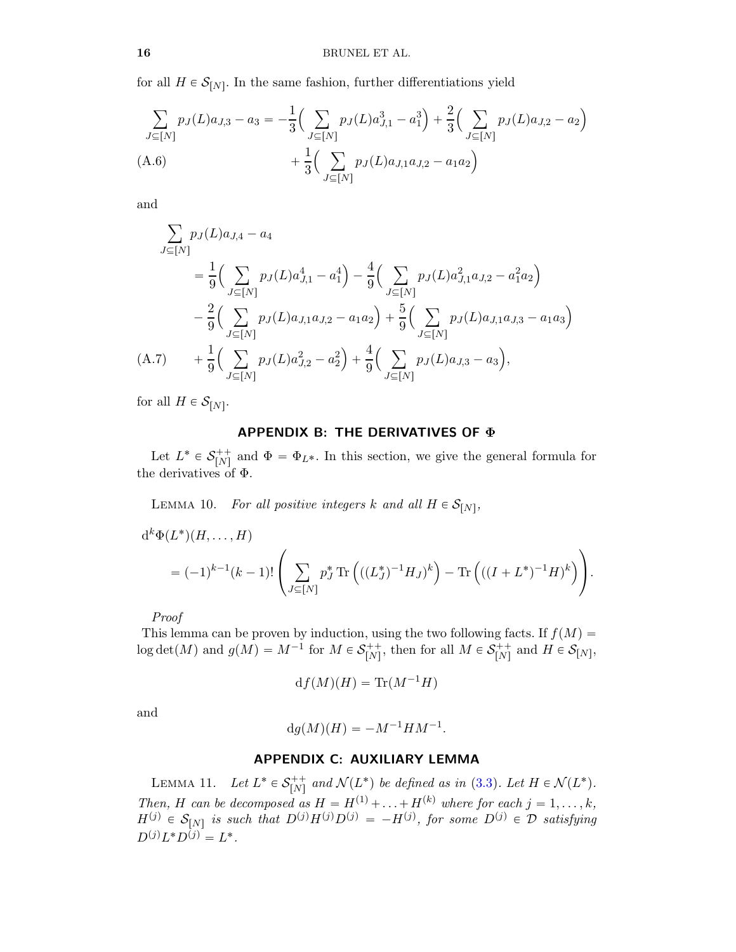for all  $H \in \mathcal{S}_{[N]}$ . In the same fashion, further differentiations yield

<span id="page-15-2"></span>
$$
\sum_{J \subseteq [N]} p_J(L)a_{J,3} - a_3 = -\frac{1}{3} \Big( \sum_{J \subseteq [N]} p_J(L)a_{J,1}^3 - a_1^3 \Big) + \frac{2}{3} \Big( \sum_{J \subseteq [N]} p_J(L)a_{J,2} - a_2 \Big) + \frac{1}{3} \Big( \sum_{J \subseteq [N]} p_J(L)a_{J,1}a_{J,2} - a_1a_2 \Big)
$$
\n(A.6)

and

$$
\sum_{J \subseteq [N]} p_J(L)a_{J,4} - a_4
$$
\n
$$
= \frac{1}{9} \Big( \sum_{J \subseteq [N]} p_J(L)a_{J,1}^4 - a_1^4 \Big) - \frac{4}{9} \Big( \sum_{J \subseteq [N]} p_J(L)a_{J,1}^2 a_{J,2} - a_1^2 a_2 \Big)
$$
\n
$$
- \frac{2}{9} \Big( \sum_{J \subseteq [N]} p_J(L)a_{J,1}a_{J,2} - a_1 a_2 \Big) + \frac{5}{9} \Big( \sum_{J \subseteq [N]} p_J(L)a_{J,1}a_{J,3} - a_1 a_3 \Big)
$$
\n(A.7) 
$$
+ \frac{1}{9} \Big( \sum_{J \subseteq [N]} p_J(L)a_{J,2}^2 - a_2^2 \Big) + \frac{4}{9} \Big( \sum_{J \subseteq [N]} p_J(L)a_{J,3} - a_3 \Big),
$$

<span id="page-15-3"></span>for all  $H \in \mathcal{S}_{[N]}$ .

## APPENDIX B: THE DERIVATIVES OF Φ

<span id="page-15-0"></span>Let  $L^* \in \mathcal{S}_{[N]}^{++}$ <sup>+++</sup> and  $\Phi = \Phi_{L^*}$ . In this section, we give the general formula for the derivatives of Φ.

LEMMA 10. *For all positive integers*  $k$  and all  $H \in S_{[N]}$ ,

$$
d^{k} \Phi(L^{*})(H, ..., H)
$$
  
=  $(-1)^{k-1}(k-1)!\left(\sum_{J \subseteq [N]} p_{J}^{*} \text{Tr}\left(((L_{J}^{*})^{-1}H_{J})^{k}\right) - \text{Tr}\left(((I + L^{*})^{-1}H)^{k}\right)\right).$ 

*Proof*

This lemma can be proven by induction, using the two following facts. If  $f(M)$  =  $\log \det(M)$  and  $g(M) = M^{-1}$  for  $M \in \mathcal{S}_{[N]}^{++}$  $\zeta^{++}_{[N]}$ , then for all  $M \in \mathcal{S}_{[N]}^{++}$  $\begin{bmatrix}r+1\ N\end{bmatrix}$  and  $H \in \mathcal{S}_{[N]},$ 

$$
df(M)(H) = \text{Tr}(M^{-1}H)
$$

and

$$
\mathrm{d}g(M)(H) = -M^{-1}HM^{-1}.
$$

## APPENDIX C: AUXILIARY LEMMA

<span id="page-15-1"></span>LEMMA 11. *Let*  $L^* \in S_{[N]}^{++}$  $r_{[N]}^{++}$  and  $\mathcal{N}(L^*)$  be defined as in [\(3.3\)](#page-5-4). Let  $H \in \mathcal{N}(L^*)$ . *Then, H can be decomposed as*  $H = H^{(1)} + \ldots + H^{(k)}$  *where for each*  $j = 1, \ldots, k$ *,*  $H^{(j)} \in \mathcal{S}_{[N]}$  is such that  $D^{(j)}H^{(j)}D^{(j)} = -H^{(j)}$ , for some  $D^{(j)} \in \mathcal{D}$  satisfying  $D^{(j)}L^*D^{(j)} = L^*.$